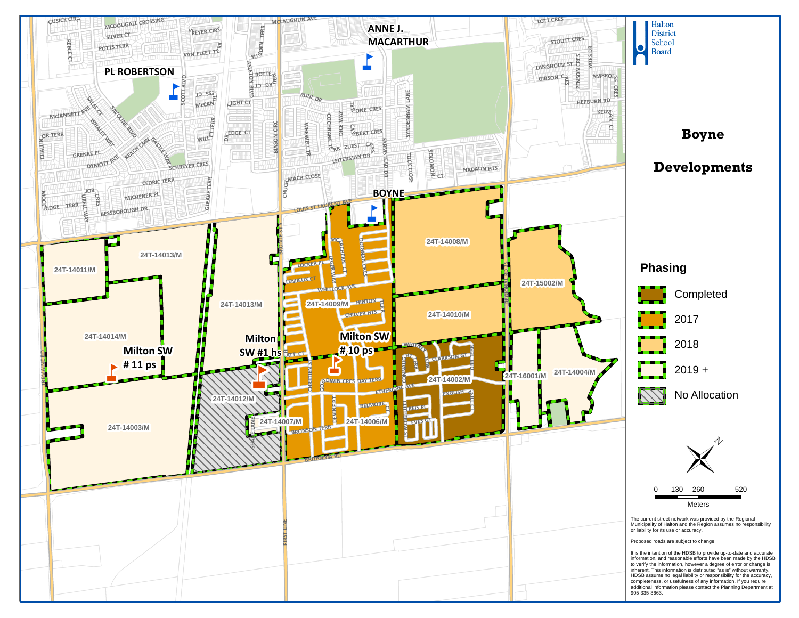